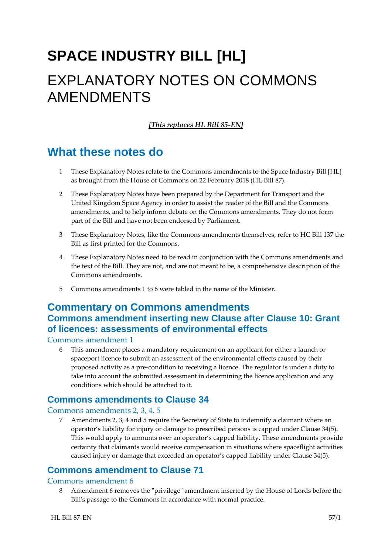# **SPACE INDUSTRY BILL [HL]** EXPLANATORY NOTES ON COMMONS AMENDMENTS

#### *[This replaces HL Bill 85-EN]*

# **What these notes do**

- 1 These Explanatory Notes relate to the Commons amendments to the Space Industry Bill [HL] as brought from the House of Commons on 22 February 2018 (HL Bill 87).
- 2 These Explanatory Notes have been prepared by the Department for Transport and the United Kingdom Space Agency in order to assist the reader of the Bill and the Commons amendments, and to help inform debate on the Commons amendments. They do not form part of the Bill and have not been endorsed by Parliament.
- 3 These Explanatory Notes, like the Commons amendments themselves, refer to HC Bill 137 the Bill as first printed for the Commons.
- 4 These Explanatory Notes need to be read in conjunction with the Commons amendments and the text of the Bill. They are not, and are not meant to be, a comprehensive description of the Commons amendments.
- 5 Commons amendments 1 to 6 were tabled in the name of the Minister.

## **Commentary on Commons amendments Commons amendment inserting new Clause after Clause 10: Grant of licences: assessments of environmental effects**

#### Commons amendment 1

6 This amendment places a mandatory requirement on an applicant for either a launch or spaceport licence to submit an assessment of the environmental effects caused by their proposed activity as a pre-condition to receiving a licence. The regulator is under a duty to take into account the submitted assessment in determining the licence application and any conditions which should be attached to it.

### **Commons amendments to Clause 34**

#### Commons amendments 2, 3, 4, 5

7 Amendments 2, 3, 4 and 5 require the Secretary of State to indemnify a claimant where an operator's liability for injury or damage to prescribed persons is capped under Clause 34(5). This would apply to amounts over an operator's capped liability. These amendments provide certainty that claimants would receive compensation in situations where spaceflight activities caused injury or damage that exceeded an operator's capped liability under Clause 34(5).

### **Commons amendment to Clause 71**

#### Commons amendment 6

8 Amendment 6 removes the "privilege" amendment inserted by the House of Lords before the Bill's passage to the Commons in accordance with normal practice.